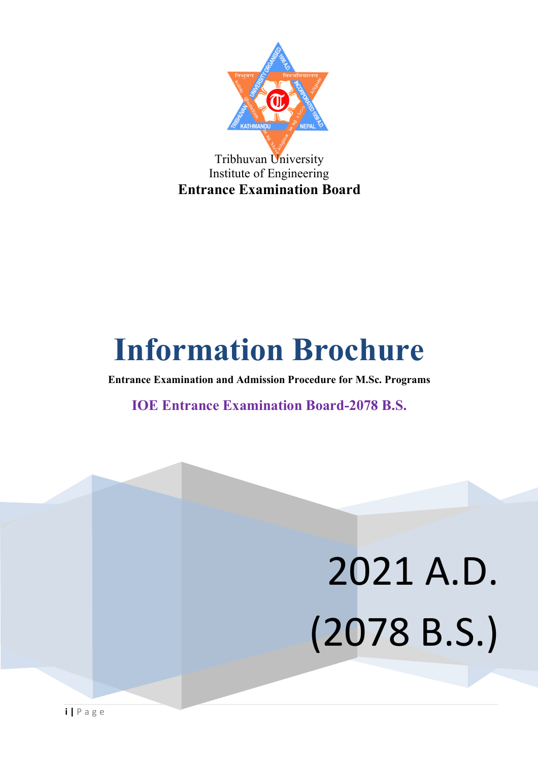

## **Information Brochure**

**Entrance Examination and Admission Procedure for M.Sc. Programs**

**IOE Entrance Examination Board-2078 B.S.**

# 2021 A.D. (2078 B.S.)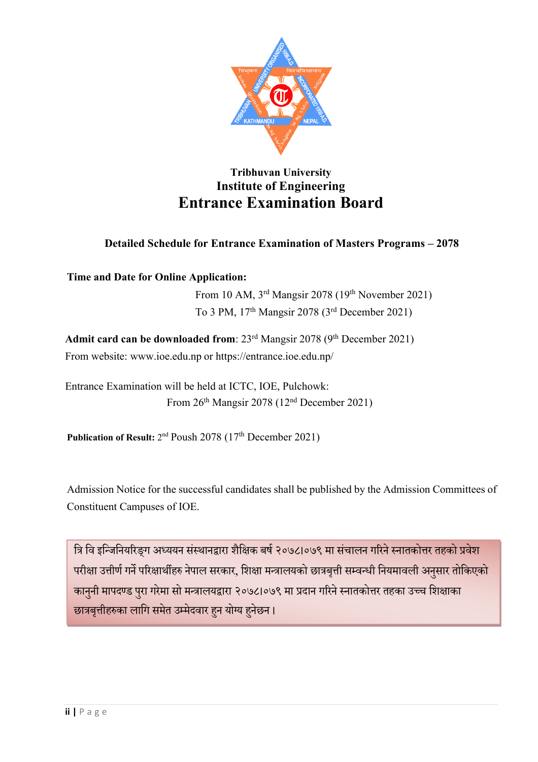

#### **Tribhuvan University Institute of Engineering Entrance Examination Board**

#### **Detailed Schedule for Entrance Examination of Masters Programs – 2078**

**Time and Date for Online Application:**

From 10 AM, 3rd Mangsir 2078 (19th November 2021) To 3 PM, 17th Mangsir 2078 (3rd December 2021)

Admit card can be downloaded from: 23<sup>rd</sup> Mangsir 2078 (9<sup>th</sup> December 2021) From website: www.ioe.edu.np or https://entrance.ioe.edu.np/

Entrance Examination will be held at ICTC, IOE, Pulchowk: From 26th Mangsir 2078 (12nd December 2021)

Publication of Result: 2<sup>nd</sup> Poush 2078 (17<sup>th</sup> December 2021)

Admission Notice for the successful candidates shall be published by the Admission Committees of Constituent Campuses of IOE.

त्रि वि इन्जिनियरिङ्ग अध्ययन संस्थानद्वारा शैक्षिक बर्ष २०७८।०७९ मा संचालन गरिने स्नातकोत्तर तहको प्रवेश परीक्षा उत्तीर्ण गर्ने परिक्षार्थीहरु नेपाल सरकार, शिक्षा मन्त्रालयको छात्रबृत्ती सम्वन्धी नियमावली अनुसार तोकिएको कानुनी मापदण्ड पुरा गरेमा सो मन्त्रालयद्वारा २०७८।०७९ मा प्रदान गरिने स्नातकोत्तर तहका उच्च शिक्षाका छात्रबृत्तीहरुका लागि समेत उम्मेदवार हुन योग्य हुनेछन।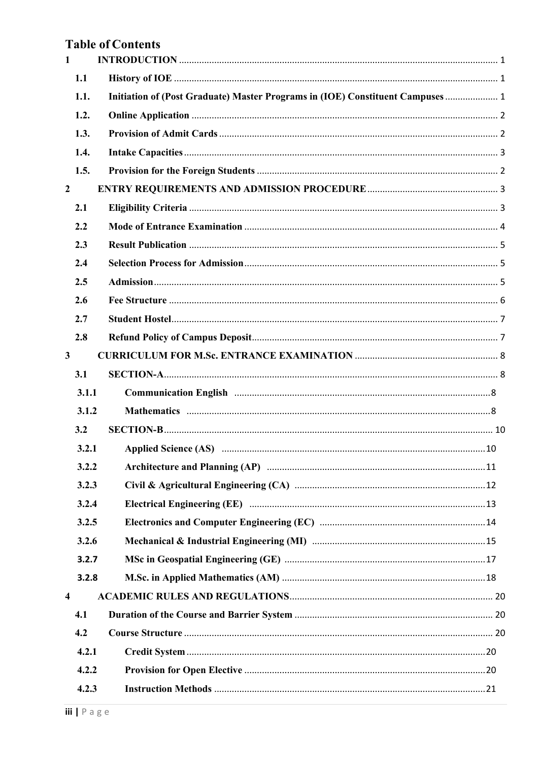#### **Table of Contents**

| $\mathbf{1}$            |       |                                                                                                                                                                                                                               |  |
|-------------------------|-------|-------------------------------------------------------------------------------------------------------------------------------------------------------------------------------------------------------------------------------|--|
|                         | 1.1   |                                                                                                                                                                                                                               |  |
|                         | 1.1.  | Initiation of (Post Graduate) Master Programs in (IOE) Constituent Campuses 1                                                                                                                                                 |  |
|                         | 1.2.  |                                                                                                                                                                                                                               |  |
|                         | 1.3.  |                                                                                                                                                                                                                               |  |
|                         | 1.4.  |                                                                                                                                                                                                                               |  |
|                         | 1.5.  |                                                                                                                                                                                                                               |  |
| $\overline{2}$          |       |                                                                                                                                                                                                                               |  |
|                         | 2.1   |                                                                                                                                                                                                                               |  |
|                         | 2.2   |                                                                                                                                                                                                                               |  |
|                         | 2.3   |                                                                                                                                                                                                                               |  |
|                         | 2.4   |                                                                                                                                                                                                                               |  |
|                         | 2.5   |                                                                                                                                                                                                                               |  |
|                         | 2.6   |                                                                                                                                                                                                                               |  |
|                         | 2.7   |                                                                                                                                                                                                                               |  |
|                         | 2.8   |                                                                                                                                                                                                                               |  |
| $\mathbf{3}$            |       |                                                                                                                                                                                                                               |  |
|                         | 3.1   |                                                                                                                                                                                                                               |  |
|                         | 3.1.1 |                                                                                                                                                                                                                               |  |
|                         | 3.1.2 |                                                                                                                                                                                                                               |  |
|                         | 3.2   |                                                                                                                                                                                                                               |  |
|                         | 3.2.1 | Applied Science (AS) manufactured and the control of the state of the state of the state of the state of the state of the state of the state of the state of the state of the state of the state of the state of the state of |  |
|                         | 3.2.2 |                                                                                                                                                                                                                               |  |
|                         | 3.2.3 |                                                                                                                                                                                                                               |  |
|                         | 3.2.4 |                                                                                                                                                                                                                               |  |
|                         | 3.2.5 |                                                                                                                                                                                                                               |  |
|                         | 3.2.6 |                                                                                                                                                                                                                               |  |
|                         | 3.2.7 |                                                                                                                                                                                                                               |  |
|                         | 3.2.8 |                                                                                                                                                                                                                               |  |
| $\overline{\mathbf{4}}$ |       |                                                                                                                                                                                                                               |  |
|                         | 4.1   |                                                                                                                                                                                                                               |  |
|                         | 4.2   |                                                                                                                                                                                                                               |  |
|                         | 4.2.1 |                                                                                                                                                                                                                               |  |
|                         | 4.2.2 |                                                                                                                                                                                                                               |  |
|                         | 4.2.3 |                                                                                                                                                                                                                               |  |
|                         |       |                                                                                                                                                                                                                               |  |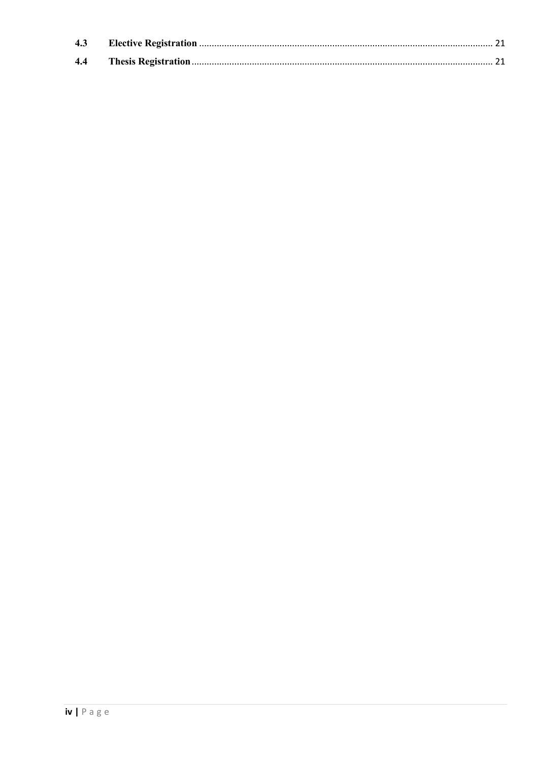| 4.4 |  |
|-----|--|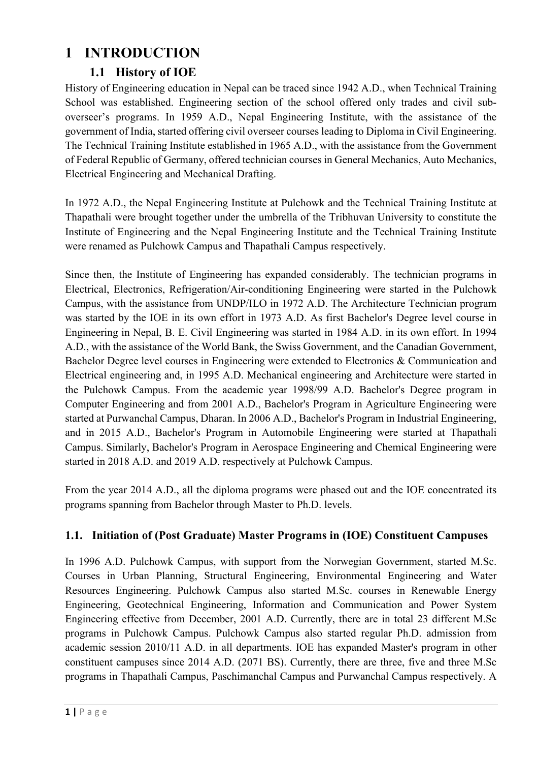#### **1 INTRODUCTION**

#### **1.1 History of IOE**

History of Engineering education in Nepal can be traced since 1942 A.D., when Technical Training School was established. Engineering section of the school offered only trades and civil suboverseer's programs. In 1959 A.D., Nepal Engineering Institute, with the assistance of the government of India, started offering civil overseer courses leading to Diploma in Civil Engineering. The Technical Training Institute established in 1965 A.D., with the assistance from the Government of Federal Republic of Germany, offered technician courses in General Mechanics, Auto Mechanics, Electrical Engineering and Mechanical Drafting.

In 1972 A.D., the Nepal Engineering Institute at Pulchowk and the Technical Training Institute at Thapathali were brought together under the umbrella of the Tribhuvan University to constitute the Institute of Engineering and the Nepal Engineering Institute and the Technical Training Institute were renamed as Pulchowk Campus and Thapathali Campus respectively.

Since then, the Institute of Engineering has expanded considerably. The technician programs in Electrical, Electronics, Refrigeration/Air-conditioning Engineering were started in the Pulchowk Campus, with the assistance from UNDP/ILO in 1972 A.D. The Architecture Technician program was started by the IOE in its own effort in 1973 A.D. As first Bachelor's Degree level course in Engineering in Nepal, B. E. Civil Engineering was started in 1984 A.D. in its own effort. In 1994 A.D., with the assistance of the World Bank, the Swiss Government, and the Canadian Government, Bachelor Degree level courses in Engineering were extended to Electronics & Communication and Electrical engineering and, in 1995 A.D. Mechanical engineering and Architecture were started in the Pulchowk Campus. From the academic year 1998/99 A.D. Bachelor's Degree program in Computer Engineering and from 2001 A.D., Bachelor's Program in Agriculture Engineering were started at Purwanchal Campus, Dharan. In 2006 A.D., Bachelor's Program in Industrial Engineering, and in 2015 A.D., Bachelor's Program in Automobile Engineering were started at Thapathali Campus. Similarly, Bachelor's Program in Aerospace Engineering and Chemical Engineering were started in 2018 A.D. and 2019 A.D. respectively at Pulchowk Campus.

From the year 2014 A.D., all the diploma programs were phased out and the IOE concentrated its programs spanning from Bachelor through Master to Ph.D. levels.

#### **1.1. Initiation of (Post Graduate) Master Programs in (IOE) Constituent Campuses**

In 1996 A.D. Pulchowk Campus, with support from the Norwegian Government, started M.Sc. Courses in Urban Planning, Structural Engineering, Environmental Engineering and Water Resources Engineering. Pulchowk Campus also started M.Sc. courses in Renewable Energy Engineering, Geotechnical Engineering, Information and Communication and Power System Engineering effective from December, 2001 A.D. Currently, there are in total 23 different M.Sc programs in Pulchowk Campus. Pulchowk Campus also started regular Ph.D. admission from academic session 2010/11 A.D. in all departments. IOE has expanded Master's program in other constituent campuses since 2014 A.D. (2071 BS). Currently, there are three, five and three M.Sc programs in Thapathali Campus, Paschimanchal Campus and Purwanchal Campus respectively. A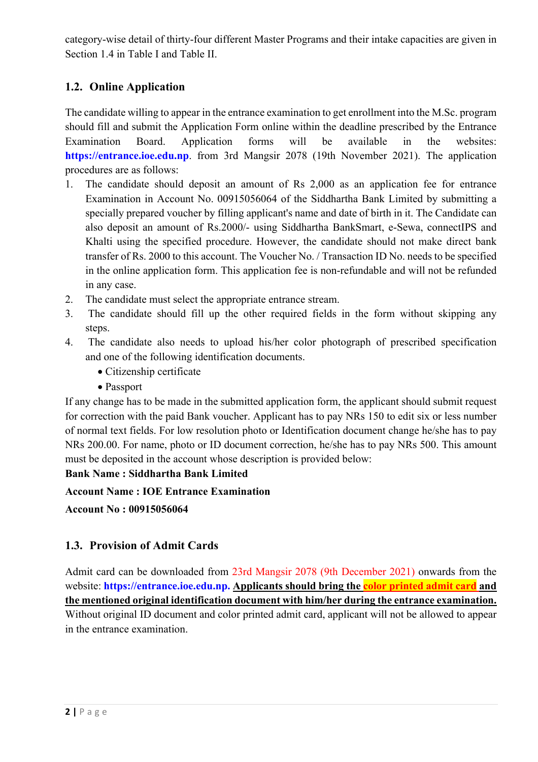category-wise detail of thirty-four different Master Programs and their intake capacities are given in Section 1.4 in Table I and Table II.

#### **1.2. Online Application**

The candidate willing to appear in the entrance examination to get enrollment into the M.Sc. program should fill and submit the Application Form online within the deadline prescribed by the Entrance Examination Board. Application forms will be available in the websites: **https://entrance.ioe.edu.np**. from 3rd Mangsir 2078 (19th November 2021). The application procedures are as follows:

- 1. The candidate should deposit an amount of Rs 2,000 as an application fee for entrance Examination in Account No. 00915056064 of the Siddhartha Bank Limited by submitting a specially prepared voucher by filling applicant's name and date of birth in it. The Candidate can also deposit an amount of Rs.2000/- using Siddhartha BankSmart, e-Sewa, connectIPS and Khalti using the specified procedure. However, the candidate should not make direct bank transfer of Rs. 2000 to this account. The Voucher No. / Transaction ID No. needs to be specified in the online application form. This application fee is non-refundable and will not be refunded in any case.
- 2. The candidate must select the appropriate entrance stream.
- 3. The candidate should fill up the other required fields in the form without skipping any steps.
- 4. The candidate also needs to upload his/her color photograph of prescribed specification and one of the following identification documents.
	- Citizenship certificate
	- Passport

If any change has to be made in the submitted application form, the applicant should submit request for correction with the paid Bank voucher. Applicant has to pay NRs 150 to edit six or less number of normal text fields. For low resolution photo or Identification document change he/she has to pay NRs 200.00. For name, photo or ID document correction, he/she has to pay NRs 500. This amount must be deposited in the account whose description is provided below:

#### **Bank Name : Siddhartha Bank Limited**

**Account Name : IOE Entrance Examination**

**Account No : 00915056064**

#### **1.3. Provision of Admit Cards**

Admit card can be downloaded from 23rd Mangsir 2078 (9th December 2021) onwards from the website: **https://entrance.ioe.edu.np. Applicants should bring the color printed admit card and the mentioned original identification document with him/her during the entrance examination.** Without original ID document and color printed admit card, applicant will not be allowed to appear in the entrance examination.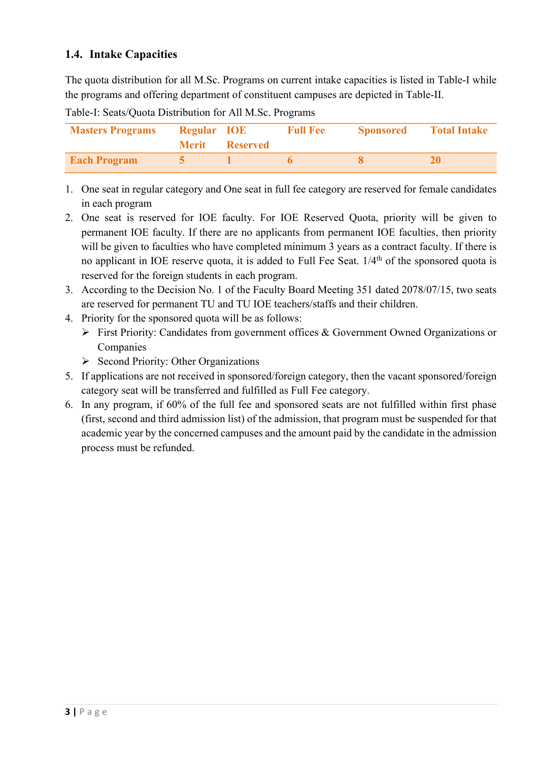#### **1.4. Intake Capacities**

The quota distribution for all M.Sc. Programs on current intake capacities is listed in Table-I while the programs and offering department of constituent campuses are depicted in Table-II.

| <b>Masters Programs</b> | <b>Regular IOE</b> | <b>Merit</b> Reserved | <b>Full Fee</b> | <b>Sponsored</b> | <b>Total Intake</b> |
|-------------------------|--------------------|-----------------------|-----------------|------------------|---------------------|
| <b>Each Program</b>     |                    |                       |                 |                  |                     |

- Table-I: Seats/Quota Distribution for All M.Sc. Programs
- 1. One seat in regular category and One seat in full fee category are reserved for female candidates in each program
- 2. One seat is reserved for IOE faculty. For IOE Reserved Quota, priority will be given to permanent IOE faculty. If there are no applicants from permanent IOE faculties, then priority will be given to faculties who have completed minimum 3 years as a contract faculty. If there is no applicant in IOE reserve quota, it is added to Full Fee Seat. 1/4<sup>th</sup> of the sponsored quota is reserved for the foreign students in each program.
- 3. According to the Decision No. 1 of the Faculty Board Meeting 351 dated 2078/07/15, two seats are reserved for permanent TU and TU IOE teachers/staffs and their children.
- 4. Priority for the sponsored quota will be as follows:
	- Ø First Priority: Candidates from government offices & Government Owned Organizations or Companies
	- $\triangleright$  Second Priority: Other Organizations
- 5. If applications are not received in sponsored/foreign category, then the vacant sponsored/foreign category seat will be transferred and fulfilled as Full Fee category.
- 6. In any program, if 60% of the full fee and sponsored seats are not fulfilled within first phase (first, second and third admission list) of the admission, that program must be suspended for that academic year by the concerned campuses and the amount paid by the candidate in the admission process must be refunded.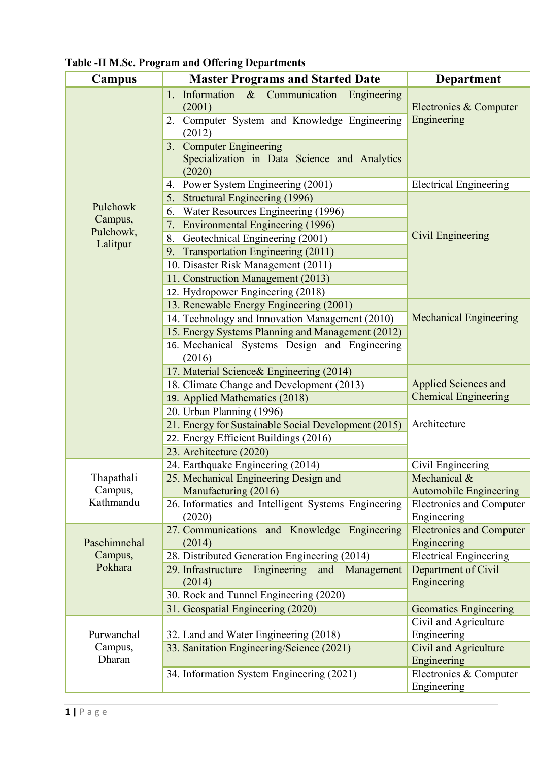| Campus               | <b>Master Programs and Started Date</b>                                                                       | <b>Department</b>                              |  |  |
|----------------------|---------------------------------------------------------------------------------------------------------------|------------------------------------------------|--|--|
|                      | 1. Information<br>$\&$<br>Communication<br>Engineering<br>(2001)<br>Computer System and Knowledge Engineering | Electronics & Computer<br>Engineering          |  |  |
|                      | (2012)<br>3. Computer Engineering                                                                             |                                                |  |  |
|                      | Specialization in Data Science and Analytics<br>(2020)                                                        |                                                |  |  |
|                      | Power System Engineering (2001)<br>4.                                                                         | <b>Electrical Engineering</b>                  |  |  |
|                      | 5. Structural Engineering (1996)                                                                              |                                                |  |  |
| Pulchowk             | Water Resources Engineering (1996)<br>6.                                                                      |                                                |  |  |
| Campus,<br>Pulchowk, | <b>Environmental Engineering (1996)</b><br>7.                                                                 |                                                |  |  |
| Lalitpur             | Geotechnical Engineering (2001)<br>8.                                                                         | Civil Engineering                              |  |  |
|                      | <b>Transportation Engineering (2011)</b><br>9.                                                                |                                                |  |  |
|                      | 10. Disaster Risk Management (2011)                                                                           |                                                |  |  |
|                      | 11. Construction Management (2013)                                                                            |                                                |  |  |
|                      | 12. Hydropower Engineering (2018)                                                                             |                                                |  |  |
|                      | 13. Renewable Energy Engineering (2001)                                                                       |                                                |  |  |
|                      | 14. Technology and Innovation Management (2010)                                                               | <b>Mechanical Engineering</b>                  |  |  |
|                      | 15. Energy Systems Planning and Management (2012)                                                             |                                                |  |  |
|                      | 16. Mechanical Systems Design and Engineering<br>(2016)                                                       |                                                |  |  |
|                      | 17. Material Science& Engineering (2014)                                                                      |                                                |  |  |
|                      | 18. Climate Change and Development (2013)                                                                     | <b>Applied Sciences and</b>                    |  |  |
|                      | 19. Applied Mathematics (2018)                                                                                | <b>Chemical Engineering</b>                    |  |  |
|                      | 20. Urban Planning (1996)                                                                                     |                                                |  |  |
|                      | 21. Energy for Sustainable Social Development (2015)                                                          | Architecture                                   |  |  |
|                      | 22. Energy Efficient Buildings (2016)                                                                         |                                                |  |  |
|                      | 23. Architecture (2020)                                                                                       |                                                |  |  |
|                      | 24. Earthquake Engineering (2014)                                                                             | Civil Engineering                              |  |  |
| Thapathali           | 25. Mechanical Engineering Design and                                                                         | Mechanical &                                   |  |  |
| Campus,<br>Kathmandu | Manufacturing (2016)                                                                                          | <b>Automobile Engineering</b>                  |  |  |
|                      | 26. Informatics and Intelligent Systems Engineering                                                           | <b>Electronics and Computer</b>                |  |  |
|                      | (2020)<br>27. Communications and Knowledge Engineering                                                        | Engineering<br><b>Electronics and Computer</b> |  |  |
| Paschimnchal         | (2014)                                                                                                        | Engineering                                    |  |  |
| Campus,              | 28. Distributed Generation Engineering (2014)                                                                 | <b>Electrical Engineering</b>                  |  |  |
| Pokhara              | 29. Infrastructure<br>Engineering<br>and<br>Management                                                        | Department of Civil                            |  |  |
|                      | (2014)                                                                                                        | Engineering                                    |  |  |
|                      | 30. Rock and Tunnel Engineering (2020)                                                                        |                                                |  |  |
|                      | 31. Geospatial Engineering (2020)                                                                             | <b>Geomatics Engineering</b>                   |  |  |
|                      |                                                                                                               | Civil and Agriculture                          |  |  |
| Purwanchal           | 32. Land and Water Engineering (2018)                                                                         | Engineering                                    |  |  |
| Campus,              | 33. Sanitation Engineering/Science (2021)                                                                     | <b>Civil and Agriculture</b>                   |  |  |
| Dharan               |                                                                                                               | Engineering                                    |  |  |
|                      | 34. Information System Engineering (2021)                                                                     | Electronics & Computer                         |  |  |
|                      |                                                                                                               | Engineering                                    |  |  |

**Table -II M.Sc. Program and Offering Departments**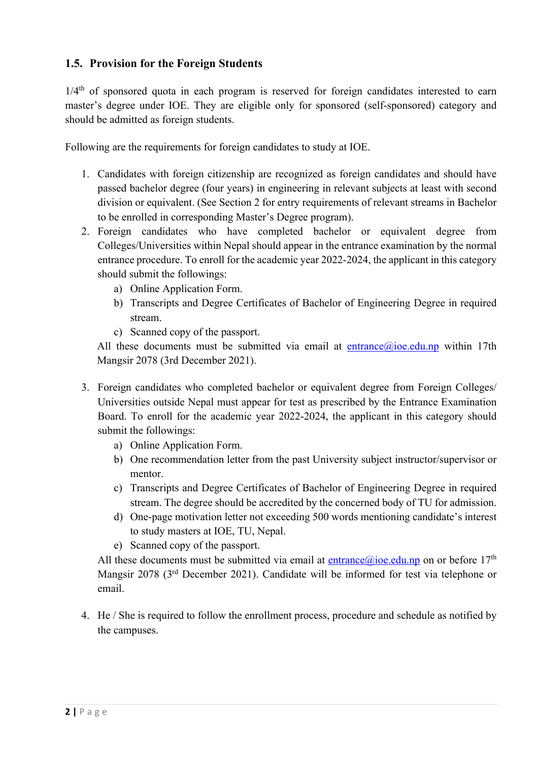#### **1.5. Provision for the Foreign Students**

 $1/4$ <sup>th</sup> of sponsored quota in each program is reserved for foreign candidates interested to earn master's degree under IOE. They are eligible only for sponsored (self-sponsored) category and should be admitted as foreign students.

Following are the requirements for foreign candidates to study at IOE.

- 1. Candidates with foreign citizenship are recognized as foreign candidates and should have passed bachelor degree (four years) in engineering in relevant subjects at least with second division or equivalent. (See Section 2 for entry requirements of relevant streams in Bachelor to be enrolled in corresponding Master's Degree program).
- 2. Foreign candidates who have completed bachelor or equivalent degree from Colleges/Universities within Nepal should appear in the entrance examination by the normal entrance procedure. To enroll for the academic year 2022-2024, the applicant in this category should submit the followings:
	- a) Online Application Form.
	- b) Transcripts and Degree Certificates of Bachelor of Engineering Degree in required stream.
	- c) Scanned copy of the passport.

All these documents must be submitted via email at entrance@ioe.edu.np within 17th Mangsir 2078 (3rd December 2021).

- 3. Foreign candidates who completed bachelor or equivalent degree from Foreign Colleges/ Universities outside Nepal must appear for test as prescribed by the Entrance Examination Board. To enroll for the academic year 2022-2024, the applicant in this category should submit the followings:
	- a) Online Application Form.
	- b) One recommendation letter from the past University subject instructor/supervisor or mentor.
	- c) Transcripts and Degree Certificates of Bachelor of Engineering Degree in required stream. The degree should be accredited by the concerned body of TU for admission.
	- d) One-page motivation letter not exceeding 500 words mentioning candidate's interest to study masters at IOE, TU, Nepal.
	- e) Scanned copy of the passport.

All these documents must be submitted via email at entrance@ioe.edu.np on or before  $17<sup>th</sup>$ Mangsir 2078 (3rd December 2021). Candidate will be informed for test via telephone or email.

4. He / She is required to follow the enrollment process, procedure and schedule as notified by the campuses.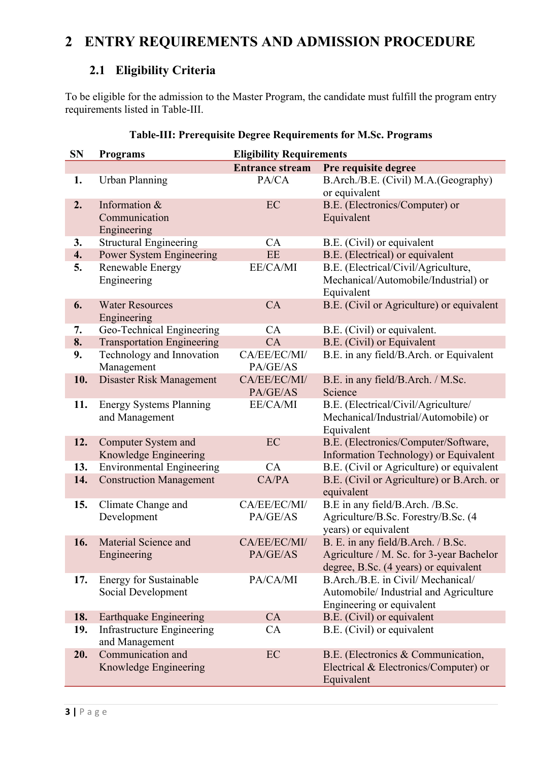## **2 ENTRY REQUIREMENTS AND ADMISSION PROCEDURE**

#### **2.1 Eligibility Criteria**

To be eligible for the admission to the Master Program, the candidate must fulfill the program entry requirements listed in Table-III.

| <b>SN</b> | <b>Programs</b>                                     | <b>Eligibility Requirements</b> |                                                                                                                         |  |
|-----------|-----------------------------------------------------|---------------------------------|-------------------------------------------------------------------------------------------------------------------------|--|
|           |                                                     | <b>Entrance stream</b>          | Pre requisite degree                                                                                                    |  |
| 1.        | <b>Urban Planning</b>                               | PA/CA                           | B.Arch./B.E. (Civil) M.A.(Geography)<br>or equivalent                                                                   |  |
| 2.        | Information &<br>Communication<br>Engineering       | EC                              | B.E. (Electronics/Computer) or<br>Equivalent                                                                            |  |
| 3.        | <b>Structural Engineering</b>                       | CA                              | B.E. (Civil) or equivalent                                                                                              |  |
| 4.        | <b>Power System Engineering</b>                     | <b>EE</b>                       | B.E. (Electrical) or equivalent                                                                                         |  |
| 5.        | Renewable Energy<br>Engineering                     | EE/CA/MI                        | B.E. (Electrical/Civil/Agriculture,<br>Mechanical/Automobile/Industrial) or<br>Equivalent                               |  |
| 6.        | <b>Water Resources</b><br>Engineering               | CA                              | B.E. (Civil or Agriculture) or equivalent                                                                               |  |
| 7.        | Geo-Technical Engineering                           | CA                              | B.E. (Civil) or equivalent.                                                                                             |  |
| 8.        | <b>Transportation Engineering</b>                   | CA                              | B.E. (Civil) or Equivalent                                                                                              |  |
| 9.        | Technology and Innovation<br>Management             | CA/EE/EC/MI/<br>PA/GE/AS        | B.E. in any field/B.Arch. or Equivalent                                                                                 |  |
| 10.       | Disaster Risk Management                            | CA/EE/EC/MI/<br>PA/GE/AS        | B.E. in any field/B.Arch. / M.Sc.<br>Science                                                                            |  |
| 11.       | <b>Energy Systems Planning</b><br>and Management    | EE/CA/MI                        | B.E. (Electrical/Civil/Agriculture/<br>Mechanical/Industrial/Automobile) or<br>Equivalent                               |  |
| 12.       | <b>Computer System and</b><br>Knowledge Engineering | EC                              | B.E. (Electronics/Computer/Software,<br>Information Technology) or Equivalent                                           |  |
| 13.       | <b>Environmental Engineering</b>                    | CA                              | B.E. (Civil or Agriculture) or equivalent                                                                               |  |
| 14.       | <b>Construction Management</b>                      | CA/PA                           | B.E. (Civil or Agriculture) or B.Arch. or<br>equivalent                                                                 |  |
| 15.       | Climate Change and<br>Development                   | CA/EE/EC/MI/<br>PA/GE/AS        | B.E in any field/B.Arch. /B.Sc.<br>Agriculture/B.Sc. Forestry/B.Sc. (4<br>years) or equivalent                          |  |
| 16.       | Material Science and<br>Engineering                 | CA/EE/EC/MI/<br>PA/GE/AS        | B. E. in any field/B.Arch. / B.Sc.<br>Agriculture / M. Sc. for 3-year Bachelor<br>degree, B.Sc. (4 years) or equivalent |  |
| 17.       | <b>Energy for Sustainable</b><br>Social Development | PA/CA/MI                        | B.Arch./B.E. in Civil/ Mechanical/<br>Automobile/ Industrial and Agriculture<br>Engineering or equivalent               |  |
| 18.       | <b>Earthquake Engineering</b>                       | CA                              | B.E. (Civil) or equivalent                                                                                              |  |
| 19.       | <b>Infrastructure Engineering</b><br>and Management | CA                              | B.E. (Civil) or equivalent                                                                                              |  |
| 20.       | Communication and<br>Knowledge Engineering          | EC                              | B.E. (Electronics & Communication,<br>Electrical & Electronics/Computer) or<br>Equivalent                               |  |

#### **Table-III: Prerequisite Degree Requirements for M.Sc. Programs**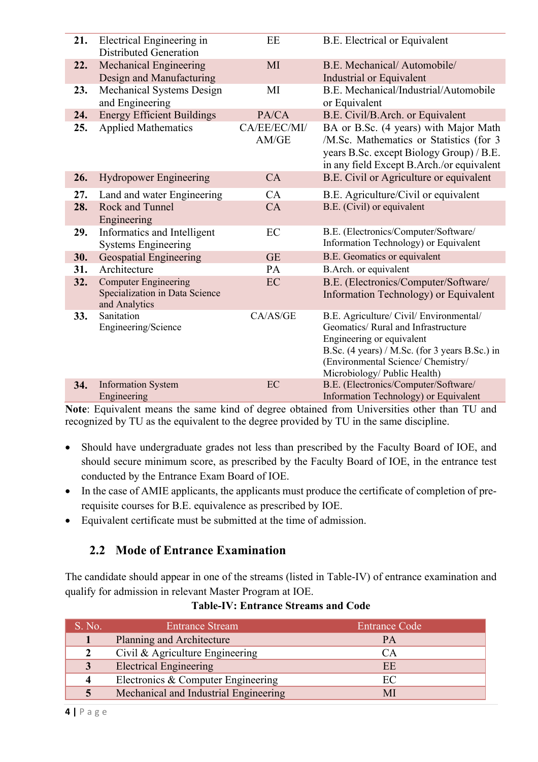| 21. | Electrical Engineering in<br><b>Distributed Generation</b>                     | EE                    | B.E. Electrical or Equivalent                                                                                                                                                                                                       |
|-----|--------------------------------------------------------------------------------|-----------------------|-------------------------------------------------------------------------------------------------------------------------------------------------------------------------------------------------------------------------------------|
| 22. | <b>Mechanical Engineering</b><br>Design and Manufacturing                      | MI                    | B.E. Mechanical/Automobile/<br>Industrial or Equivalent                                                                                                                                                                             |
| 23. | Mechanical Systems Design<br>and Engineering                                   | MI                    | B.E. Mechanical/Industrial/Automobile<br>or Equivalent                                                                                                                                                                              |
| 24. | <b>Energy Efficient Buildings</b>                                              | PA/CA                 | B.E. Civil/B.Arch. or Equivalent                                                                                                                                                                                                    |
| 25. | <b>Applied Mathematics</b>                                                     | CA/EE/EC/MI/<br>AM/GE | BA or B.Sc. (4 years) with Major Math<br>/M.Sc. Mathematics or Statistics (for 3<br>years B.Sc. except Biology Group) / B.E.<br>in any field Except B.Arch./or equivalent                                                           |
| 26. | <b>Hydropower Engineering</b>                                                  | CA                    | B.E. Civil or Agriculture or equivalent                                                                                                                                                                                             |
| 27. | Land and water Engineering                                                     | CA                    | B.E. Agriculture/Civil or equivalent                                                                                                                                                                                                |
| 28. | Rock and Tunnel<br>Engineering                                                 | CA                    | B.E. (Civil) or equivalent                                                                                                                                                                                                          |
| 29. | Informatics and Intelligent<br><b>Systems Engineering</b>                      | EC                    | B.E. (Electronics/Computer/Software/<br>Information Technology) or Equivalent                                                                                                                                                       |
| 30. | <b>Geospatial Engineering</b>                                                  | <b>GE</b>             | B.E. Geomatics or equivalent                                                                                                                                                                                                        |
| 31. | Architecture                                                                   | <b>PA</b>             | B.Arch. or equivalent                                                                                                                                                                                                               |
| 32. | <b>Computer Engineering</b><br>Specialization in Data Science<br>and Analytics | EC                    | B.E. (Electronics/Computer/Software/<br>Information Technology) or Equivalent                                                                                                                                                       |
| 33. | Sanitation<br>Engineering/Science                                              | CA/AS/GE              | B.E. Agriculture/ Civil/ Environmental/<br>Geomatics/ Rural and Infrastructure<br>Engineering or equivalent<br>B.Sc. (4 years) / M.Sc. (for 3 years B.Sc.) in<br>(Environmental Science/ Chemistry/<br>Microbiology/ Public Health) |
| 34. | <b>Information System</b><br>Engineering                                       | EC                    | B.E. (Electronics/Computer/Software/<br>Information Technology) or Equivalent                                                                                                                                                       |

**Note**: Equivalent means the same kind of degree obtained from Universities other than TU and recognized by TU as the equivalent to the degree provided by TU in the same discipline.

- Should have undergraduate grades not less than prescribed by the Faculty Board of IOE, and should secure minimum score, as prescribed by the Faculty Board of IOE, in the entrance test conducted by the Entrance Exam Board of IOE.
- In the case of AMIE applicants, the applicants must produce the certificate of completion of prerequisite courses for B.E. equivalence as prescribed by IOE.
- Equivalent certificate must be submitted at the time of admission.

#### **2.2 Mode of Entrance Examination**

The candidate should appear in one of the streams (listed in Table-IV) of entrance examination and qualify for admission in relevant Master Program at IOE.

| S. No. | <b>Entrance Stream</b>                | <b>Entrance Code</b> |
|--------|---------------------------------------|----------------------|
|        | Planning and Architecture             | PA                   |
|        | Civil & Agriculture Engineering       | CА                   |
|        | <b>Electrical Engineering</b>         | EE                   |
|        | Electronics & Computer Engineering    | EC                   |
|        | Mechanical and Industrial Engineering | MI                   |

#### **Table-IV: Entrance Streams and Code**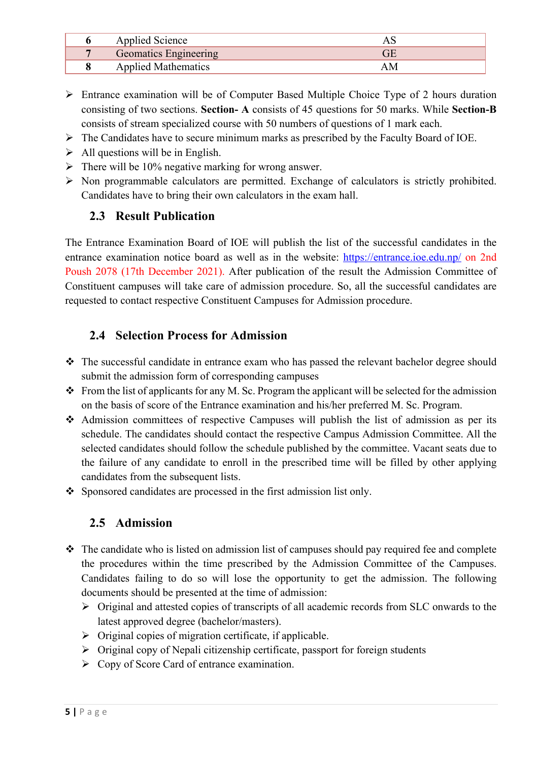| Applied Science            |  |
|----------------------------|--|
| Geomatics Engineering      |  |
| <b>Applied Mathematics</b> |  |

- $\triangleright$  Entrance examination will be of Computer Based Multiple Choice Type of 2 hours duration consisting of two sections. **Section- A** consists of 45 questions for 50 marks. While **Section-B**  consists of stream specialized course with 50 numbers of questions of 1 mark each.
- $\triangleright$  The Candidates have to secure minimum marks as prescribed by the Faculty Board of IOE.
- $\triangleright$  All questions will be in English.
- $\triangleright$  There will be 10% negative marking for wrong answer.
- $\triangleright$  Non programmable calculators are permitted. Exchange of calculators is strictly prohibited. Candidates have to bring their own calculators in the exam hall.

#### **2.3 Result Publication**

The Entrance Examination Board of IOE will publish the list of the successful candidates in the entrance examination notice board as well as in the website: https://entrance.ioe.edu.np/ on 2nd Poush 2078 (17th December 2021). After publication of the result the Admission Committee of Constituent campuses will take care of admission procedure. So, all the successful candidates are requested to contact respective Constituent Campuses for Admission procedure.

#### **2.4 Selection Process for Admission**

- $\cdot \cdot$  The successful candidate in entrance exam who has passed the relevant bachelor degree should submit the admission form of corresponding campuses
- $\cdot$  From the list of applicants for any M. Sc. Program the applicant will be selected for the admission on the basis of score of the Entrance examination and his/her preferred M. Sc. Program.
- v Admission committees of respective Campuses will publish the list of admission as per its schedule. The candidates should contact the respective Campus Admission Committee. All the selected candidates should follow the schedule published by the committee. Vacant seats due to the failure of any candidate to enroll in the prescribed time will be filled by other applying candidates from the subsequent lists.
- $\bullet$  Sponsored candidates are processed in the first admission list only.

#### **2.5 Admission**

- $\cdot \cdot$  The candidate who is listed on admission list of campuses should pay required fee and complete the procedures within the time prescribed by the Admission Committee of the Campuses. Candidates failing to do so will lose the opportunity to get the admission. The following documents should be presented at the time of admission:
	- $\triangleright$  Original and attested copies of transcripts of all academic records from SLC onwards to the latest approved degree (bachelor/masters).
	- $\triangleright$  Original copies of migration certificate, if applicable.
	- $\triangleright$  Original copy of Nepali citizenship certificate, passport for foreign students
	- $\triangleright$  Copy of Score Card of entrance examination.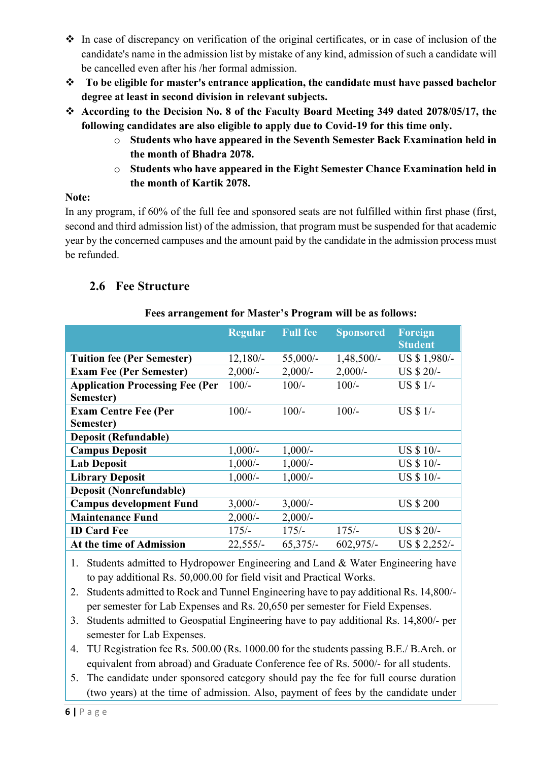- $\cdot$  In case of discrepancy on verification of the original certificates, or in case of inclusion of the candidate's name in the admission list by mistake of any kind, admission of such a candidate will be cancelled even after his /her formal admission.
- v **To be eligible for master's entrance application, the candidate must have passed bachelor degree at least in second division in relevant subjects.**
- v **According to the Decision No. 8 of the Faculty Board Meeting 349 dated 2078/05/17, the following candidates are also eligible to apply due to Covid-19 for this time only.** 
	- o **Students who have appeared in the Seventh Semester Back Examination held in the month of Bhadra 2078.**
	- o **Students who have appeared in the Eight Semester Chance Examination held in the month of Kartik 2078.**

#### **Note:**

In any program, if 60% of the full fee and sponsored seats are not fulfilled within first phase (first, second and third admission list) of the admission, that program must be suspended for that academic year by the concerned campuses and the amount paid by the candidate in the admission process must be refunded.

#### **2.6 Fee Structure**

|                                        | <b>Regular</b> | <b>Full fee</b> | <b>Sponsored</b> | <b>Foreign</b><br><b>Student</b> |
|----------------------------------------|----------------|-----------------|------------------|----------------------------------|
| <b>Tuition fee (Per Semester)</b>      | $12,180/-$     | $55,000/-$      | $1,48,500/-$     | US \$ 1,980/-                    |
| <b>Exam Fee (Per Semester)</b>         | $2,000/-$      | $2,000/-$       | $2,000/-$        | US \$ 20/-                       |
| <b>Application Processing Fee (Per</b> | $100/-$        | $100/-$         | $100/-$          | US \$ 1/-                        |
| Semester)                              |                |                 |                  |                                  |
| <b>Exam Centre Fee (Per</b>            | $100/-$        | $100/-$         | $100/-$          | US \$ 1/-                        |
| Semester)                              |                |                 |                  |                                  |
| <b>Deposit (Refundable)</b>            |                |                 |                  |                                  |
| <b>Campus Deposit</b>                  | $1,000/-$      | $1,000/-$       |                  | US \$ 10/-                       |
| <b>Lab Deposit</b>                     | $1,000/-$      | $1,000/-$       |                  | US \$ 10/-                       |
| <b>Library Deposit</b>                 | $1,000/-$      | $1,000/-$       |                  | US \$ 10/-                       |
| <b>Deposit (Nonrefundable)</b>         |                |                 |                  |                                  |
| <b>Campus development Fund</b>         | $3,000/-$      | $3,000/-$       |                  | <b>US \$ 200</b>                 |
| <b>Maintenance Fund</b>                | $2,000/-$      | $2,000/$ -      |                  |                                  |
| <b>ID Card Fee</b>                     | $175/-$        | $175/-$         | $175/-$          | US \$ 20/-                       |
| At the time of Admission               | $22,555/-$     | $65,375/-$      | $602,975/-$      | US \$ 2,252/-                    |

#### **Fees arrangement for Master's Program will be as follows:**

1. Students admitted to Hydropower Engineering and Land & Water Engineering have to pay additional Rs. 50,000.00 for field visit and Practical Works.

2. Students admitted to Rock and Tunnel Engineering have to pay additional Rs. 14,800/ per semester for Lab Expenses and Rs. 20,650 per semester for Field Expenses.

- 3. Students admitted to Geospatial Engineering have to pay additional Rs. 14,800/- per semester for Lab Expenses.
- 4. TU Registration fee Rs. 500.00 (Rs. 1000.00 for the students passing B.E./ B.Arch. or equivalent from abroad) and Graduate Conference fee of Rs. 5000/- for all students.
- 5. The candidate under sponsored category should pay the fee for full course duration (two years) at the time of admission. Also, payment of fees by the candidate under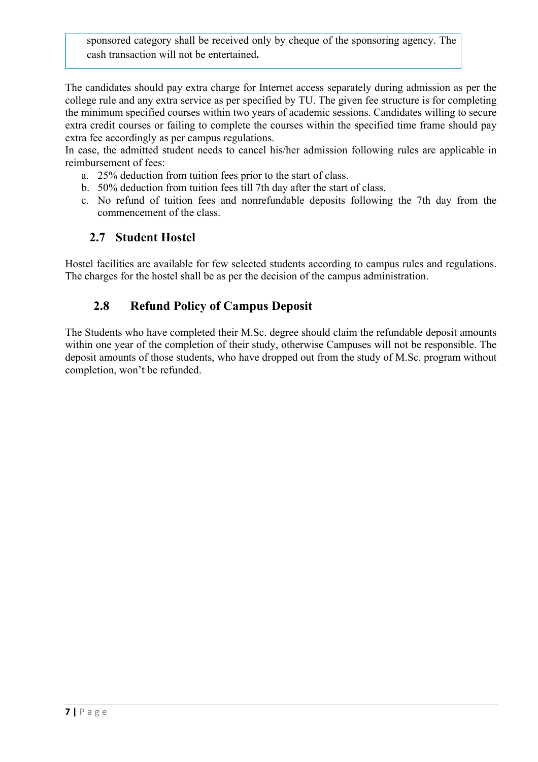sponsored category shall be received only by cheque of the sponsoring agency. The cash transaction will not be entertained**.**

The candidates should pay extra charge for Internet access separately during admission as per the college rule and any extra service as per specified by TU. The given fee structure is for completing the minimum specified courses within two years of academic sessions. Candidates willing to secure extra credit courses or failing to complete the courses within the specified time frame should pay extra fee accordingly as per campus regulations.

In case, the admitted student needs to cancel his/her admission following rules are applicable in reimbursement of fees:

- a. 25% deduction from tuition fees prior to the start of class.
- b. 50% deduction from tuition fees till 7th day after the start of class.
- c. No refund of tuition fees and nonrefundable deposits following the 7th day from the commencement of the class.

#### **2.7 Student Hostel**

Hostel facilities are available for few selected students according to campus rules and regulations. The charges for the hostel shall be as per the decision of the campus administration.

#### **2.8 Refund Policy of Campus Deposit**

The Students who have completed their M.Sc. degree should claim the refundable deposit amounts within one year of the completion of their study, otherwise Campuses will not be responsible. The deposit amounts of those students, who have dropped out from the study of M.Sc. program without completion, won't be refunded.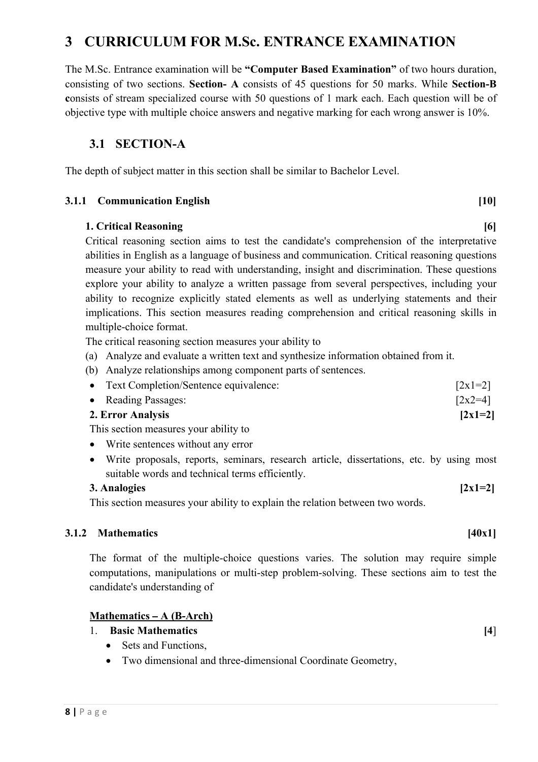#### **3 CURRICULUM FOR M.Sc. ENTRANCE EXAMINATION**

The M.Sc. Entrance examination will be **"Computer Based Examination"** of two hours duration, consisting of two sections. **Section- A** consists of 45 questions for 50 marks. While **Section-B c**onsists of stream specialized course with 50 questions of 1 mark each. Each question will be of objective type with multiple choice answers and negative marking for each wrong answer is 10%.

#### **3.1 SECTION-A**

The depth of subject matter in this section shall be similar to Bachelor Level.

#### **3.1.1 Communication English [10]**

#### **1. Critical Reasoning [6] 1. Critical Reasoning**

Critical reasoning section aims to test the candidate's comprehension of the interpretative abilities in English as a language of business and communication. Critical reasoning questions measure your ability to read with understanding, insight and discrimination. These questions explore your ability to analyze a written passage from several perspectives, including your ability to recognize explicitly stated elements as well as underlying statements and their implications. This section measures reading comprehension and critical reasoning skills in multiple-choice format.

The critical reasoning section measures your ability to

- (a) Analyze and evaluate a written text and synthesize information obtained from it.
- (b) Analyze relationships among component parts of sentences.

| 2. Error Analysis                       | $[2x1=2]$            |
|-----------------------------------------|----------------------|
| • Reading Passages:                     | $\left[2x2=4\right]$ |
| • Text Completion/Sentence equivalence: | $\lceil 2x1=2\rceil$ |

This section measures your ability to

- Write sentences without any error
- Write proposals, reports, seminars, research article, dissertations, etc. by using most suitable words and technical terms efficiently.

#### **3.** Analogies  $[2x1=2]$

This section measures your ability to explain the relation between two words.

#### **3.1.2 Mathematics [40x1]**

The format of the multiple-choice questions varies. The solution may require simple computations, manipulations or multi-step problem-solving. These sections aim to test the candidate's understanding of

#### **Mathematics – A (B-Arch)**

- 1. **Basic Mathematics [4**]
	- Sets and Functions,
	- Two dimensional and three-dimensional Coordinate Geometry,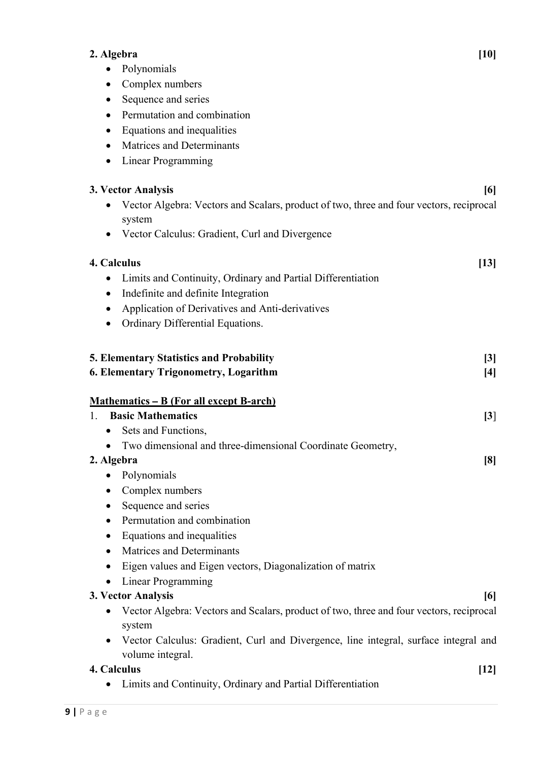#### **2. Algebra [10]**

- Polynomials
- Complex numbers
- Sequence and series
- Permutation and combination
- Equations and inequalities
- Matrices and Determinants
- Linear Programming

#### **3. Vector Analysis [6]**

- Vector Algebra: Vectors and Scalars, product of two, three and four vectors, reciprocal system
- Vector Calculus: Gradient, Curl and Divergence

## **4. Calculus [13]** • Limits and Continuity, Ordinary and Partial Differentiation • Indefinite and definite Integration • Application of Derivatives and Anti-derivatives • Ordinary Differential Equations.

### **5. Elementary Statistics and Probability [3]**

#### **6. Elementary Trigonometry, Logarithm [4]**

#### **Mathematics – B (For all except B-arch)**

| 1. Basic Mathematics                                         | 3                 |
|--------------------------------------------------------------|-------------------|
| • Sets and Functions,                                        |                   |
| • Two dimensional and three-dimensional Coordinate Geometry, |                   |
| 2. Algebra                                                   | $\lceil 8 \rceil$ |

- Polynomials
- Complex numbers
- Sequence and series
- Permutation and combination
- Equations and inequalities
- Matrices and Determinants
- Eigen values and Eigen vectors, Diagonalization of matrix
- Linear Programming

#### **3. Vector Analysis [6]**

- Vector Algebra: Vectors and Scalars, product of two, three and four vectors, reciprocal system
- Vector Calculus: Gradient, Curl and Divergence, line integral, surface integral and volume integral.

#### **4. Calculus [12]**

• Limits and Continuity, Ordinary and Partial Differentiation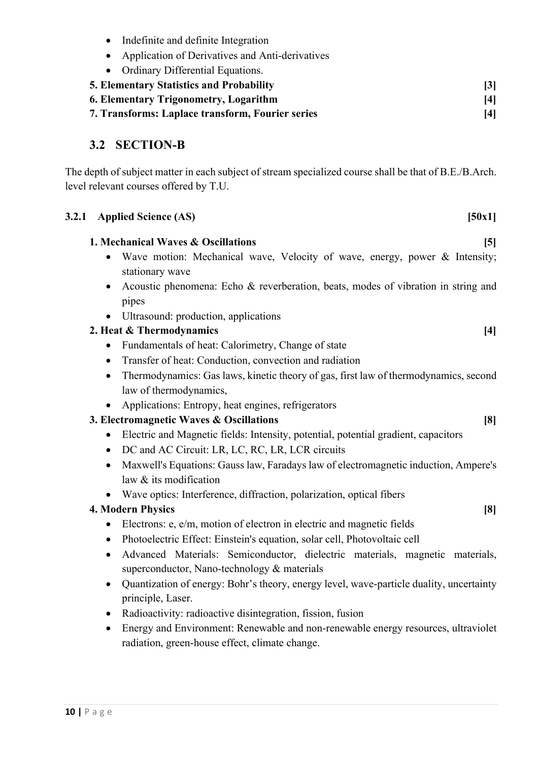- Indefinite and definite Integration
- Application of Derivatives and Anti-derivatives
- Ordinary Differential Equations.
- **5. Elementary Statistics and Probability [3] 6. Elementary Trigonometry, Logarithm [4]**
- **7. Transforms: Laplace transform, Fourier series [4]**

#### **3.2 SECTION-B**

The depth of subject matter in each subject of stream specialized course shall be that of B.E./B.Arch. level relevant courses offered by T.U.

| 3.2.1 Applied Science (AS)<br>[50x1]                                                                                                                     |
|----------------------------------------------------------------------------------------------------------------------------------------------------------|
| 1. Mechanical Waves & Oscillations<br>$\lceil 5 \rceil$                                                                                                  |
| Wave motion: Mechanical wave, Velocity of wave, energy, power & Intensity;<br>stationary wave                                                            |
| Acoustic phenomena: Echo & reverberation, beats, modes of vibration in string and<br>pipes                                                               |
| Ultrasound: production, applications                                                                                                                     |
| 2. Heat & Thermodynamics<br>$[4]$                                                                                                                        |
| Fundamentals of heat: Calorimetry, Change of state                                                                                                       |
| Transfer of heat: Conduction, convection and radiation<br>$\bullet$                                                                                      |
| Thermodynamics: Gas laws, kinetic theory of gas, first law of thermodynamics, second<br>$\bullet$<br>law of thermodynamics,                              |
| Applications: Entropy, heat engines, refrigerators                                                                                                       |
| 3. Electromagnetic Waves & Oscillations<br>[8]                                                                                                           |
| Electric and Magnetic fields: Intensity, potential, potential gradient, capacitors<br>$\bullet$                                                          |
| DC and AC Circuit: LR, LC, RC, LR, LCR circuits<br>$\bullet$                                                                                             |
| Maxwell's Equations: Gauss law, Faradays law of electromagnetic induction, Ampere's<br>$\bullet$<br>law & its modification                               |
| Wave optics: Interference, diffraction, polarization, optical fibers                                                                                     |
| <b>4. Modern Physics</b><br>[8]                                                                                                                          |
| Electrons: e, e/m, motion of electron in electric and magnetic fields<br>$\bullet$                                                                       |
| Photoelectric Effect: Einstein's equation, solar cell, Photovoltaic cell<br>$\bullet$                                                                    |
| Advanced Materials: Semiconductor, dielectric materials, magnetic materials,<br>٠<br>superconductor, Nano-technology & materials                         |
| Quantization of energy: Bohr's theory, energy level, wave-particle duality, uncertainty<br>$\bullet$<br>principle, Laser.<br>$\sim$ $\sim$ $\sim$ $\sim$ |

- Radioactivity: radioactive disintegration, fission, fusion
- Energy and Environment: Renewable and non-renewable energy resources, ultraviolet radiation, green-house effect, climate change.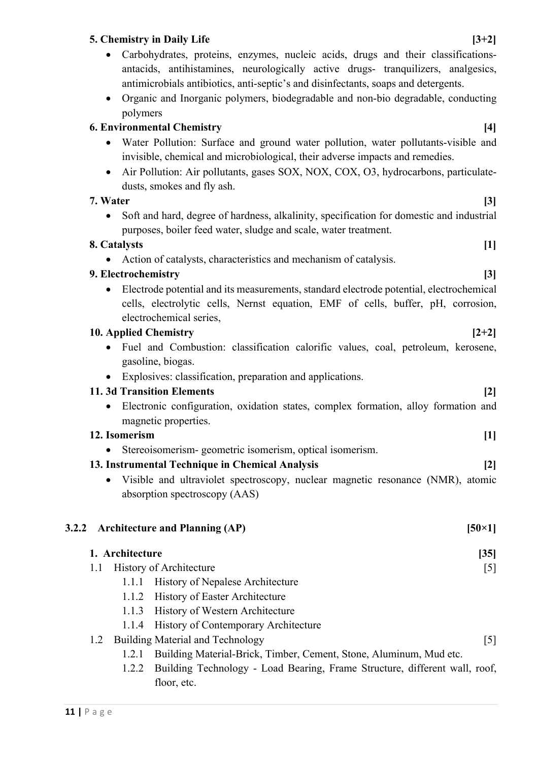#### **5. Chemistry in Daily Life [3+2]**

- Carbohydrates, proteins, enzymes, nucleic acids, drugs and their classificationsantacids, antihistamines, neurologically active drugs- tranquilizers, analgesics, antimicrobials antibiotics, anti-septic's and disinfectants, soaps and detergents.
- Organic and Inorganic polymers, biodegradable and non-bio degradable, conducting polymers

#### **6. Environmental Chemistry [4]**

- Water Pollution: Surface and ground water pollution, water pollutants-visible and invisible, chemical and microbiological, their adverse impacts and remedies.
- Air Pollution: Air pollutants, gases SOX, NOX, COX, O3, hydrocarbons, particulatedusts, smokes and fly ash.

#### **7. Water [3]**

• Soft and hard, degree of hardness, alkalinity, specification for domestic and industrial purposes, boiler feed water, sludge and scale, water treatment.

#### **8. Catalysts [1]**

• Action of catalysts, characteristics and mechanism of catalysis.

#### **9. Electrochemistry [3]**

• Electrode potential and its measurements, standard electrode potential, electrochemical cells, electrolytic cells, Nernst equation, EMF of cells, buffer, pH, corrosion, electrochemical series,

#### **10. Applied Chemistry [2+2]**

- Fuel and Combustion: classification calorific values, coal, petroleum, kerosene, gasoline, biogas.
- Explosives: classification, preparation and applications.

#### **11. 3d Transition Elements [2]**

• Electronic configuration, oxidation states, complex formation, alloy formation and magnetic properties.

#### **12. Isomerism [1]**

Stereoisomerism- geometric isomerism, optical isomerism.

#### **13. Instrumental Technique in Chemical Analysis [2]**

• Visible and ultraviolet spectroscopy, nuclear magnetic resonance (NMR), atomic absorption spectroscopy (AAS)

#### **3.2.2 Architecture and Planning (AP)** [50×1]

floor, etc.

|     | 1. Architecture<br>[35] |                                                                            |                   |
|-----|-------------------------|----------------------------------------------------------------------------|-------------------|
| 1.1 |                         | <b>History of Architecture</b>                                             | [5]               |
|     | 1.1.1                   | <b>History of Nepalese Architecture</b>                                    |                   |
|     | 1.1.2                   | <b>History of Easter Architecture</b>                                      |                   |
|     | 1.1.3                   | <b>History of Western Architecture</b>                                     |                   |
|     |                         | 1.1.4 History of Contemporary Architecture                                 |                   |
| 1.2 |                         | <b>Building Material and Technology</b>                                    | $\lceil 5 \rceil$ |
|     | 1.2.1                   | Building Material-Brick, Timber, Cement, Stone, Aluminum, Mud etc.         |                   |
|     | 1.2.2                   | Building Technology - Load Bearing, Frame Structure, different wall, roof, |                   |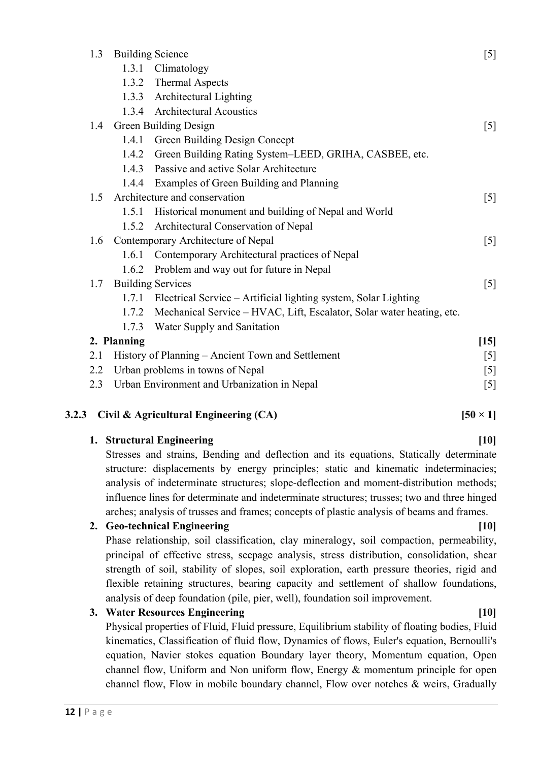| 1.3                   | <b>Building Science</b><br>$[5]$                                        |                                                                       |                                   |  |
|-----------------------|-------------------------------------------------------------------------|-----------------------------------------------------------------------|-----------------------------------|--|
|                       |                                                                         | 1.3.1 Climatology                                                     |                                   |  |
|                       | 1.3.2                                                                   | <b>Thermal Aspects</b>                                                |                                   |  |
|                       |                                                                         | 1.3.3 Architectural Lighting                                          |                                   |  |
|                       | 1.3.4                                                                   | <b>Architectural Acoustics</b>                                        |                                   |  |
| 1.4                   | Green Building Design<br>$\begin{bmatrix} 5 \end{bmatrix}$              |                                                                       |                                   |  |
|                       | 1.4.1                                                                   | Green Building Design Concept                                         |                                   |  |
|                       | 1.4.2                                                                   | Green Building Rating System–LEED, GRIHA, CASBEE, etc.                |                                   |  |
|                       | 1.4.3                                                                   | Passive and active Solar Architecture                                 |                                   |  |
|                       | 1.4.4                                                                   | Examples of Green Building and Planning                               |                                   |  |
| 1.5                   |                                                                         | Architecture and conservation                                         | $\begin{bmatrix} 5 \end{bmatrix}$ |  |
|                       | 1.5.1                                                                   | Historical monument and building of Nepal and World                   |                                   |  |
|                       | 1.5.2                                                                   | Architectural Conservation of Nepal                                   |                                   |  |
| 1.6                   | Contemporary Architecture of Nepal<br>$\begin{bmatrix} 5 \end{bmatrix}$ |                                                                       |                                   |  |
|                       | 1.6.1 Contemporary Architectural practices of Nepal                     |                                                                       |                                   |  |
|                       | 1.6.2                                                                   | Problem and way out for future in Nepal                               |                                   |  |
| 1.7                   | <b>Building Services</b><br>$[5]$                                       |                                                                       |                                   |  |
|                       | 1.7.1                                                                   | Electrical Service – Artificial lighting system, Solar Lighting       |                                   |  |
|                       | 1.7.2                                                                   | Mechanical Service – HVAC, Lift, Escalator, Solar water heating, etc. |                                   |  |
|                       | 1.7.3                                                                   | Water Supply and Sanitation                                           |                                   |  |
| 2. Planning<br>$[15]$ |                                                                         |                                                                       |                                   |  |
| 2.1                   | History of Planning – Ancient Town and Settlement                       |                                                                       |                                   |  |
| 2.2                   | Urban problems in towns of Nepal<br>[5]                                 |                                                                       |                                   |  |
| 2.3                   | Urban Environment and Urbanization in Nepal<br>$[5]$                    |                                                                       |                                   |  |

#### **3.2.3** Civil & Agricultural Engineering (CA) [50 × 1]

influence lines for determinate and indeterminate structures; trusses; two and three hinged arches; analysis of trusses and frames; concepts of plastic analysis of beams and frames. **2. Geo-technical Engineering [10]** Phase relationship, soil classification, clay mineralogy, soil compaction, permeability, principal of effective stress, seepage analysis, stress distribution, consolidation, shear strength of soil, stability of slopes, soil exploration, earth pressure theories, rigid and flexible retaining structures, bearing capacity and settlement of shallow foundations,

**1. Structural Engineering [10]** [10] Stresses and strains, Bending and deflection and its equations, Statically determinate structure: displacements by energy principles; static and kinematic indeterminacies;

#### **3. Water Resources Engineering [10]** [10]

Physical properties of Fluid, Fluid pressure, Equilibrium stability of floating bodies, Fluid kinematics, Classification of fluid flow, Dynamics of flows, Euler's equation, Bernoulli's equation, Navier stokes equation Boundary layer theory, Momentum equation, Open channel flow, Uniform and Non uniform flow, Energy & momentum principle for open channel flow, Flow in mobile boundary channel, Flow over notches & weirs, Gradually

analysis of deep foundation (pile, pier, well), foundation soil improvement.

## analysis of indeterminate structures; slope-deflection and moment-distribution methods;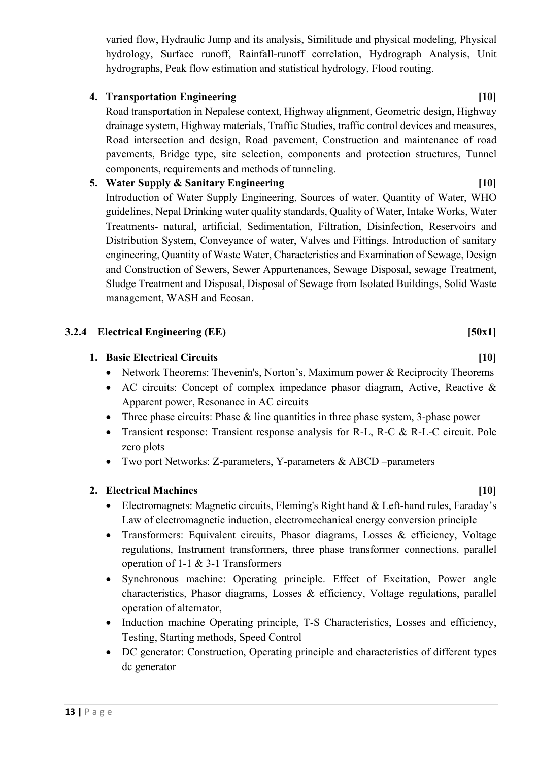varied flow, Hydraulic Jump and its analysis, Similitude and physical modeling, Physical hydrology, Surface runoff, Rainfall-runoff correlation, Hydrograph Analysis, Unit hydrographs, Peak flow estimation and statistical hydrology, Flood routing.

#### **4. Transportation Engineering [10]**

Road transportation in Nepalese context, Highway alignment, Geometric design, Highway drainage system, Highway materials, Traffic Studies, traffic control devices and measures, Road intersection and design, Road pavement, Construction and maintenance of road pavements, Bridge type, site selection, components and protection structures, Tunnel components, requirements and methods of tunneling.

#### **5. Water Supply & Sanitary Engineering [10]**

Introduction of Water Supply Engineering, Sources of water, Quantity of Water, WHO guidelines, Nepal Drinking water quality standards, Quality of Water, Intake Works, Water Treatments- natural, artificial, Sedimentation, Filtration, Disinfection, Reservoirs and Distribution System, Conveyance of water, Valves and Fittings. Introduction of sanitary engineering, Quantity of Waste Water, Characteristics and Examination of Sewage, Design and Construction of Sewers, Sewer Appurtenances, Sewage Disposal, sewage Treatment, Sludge Treatment and Disposal, Disposal of Sewage from Isolated Buildings, Solid Waste management, WASH and Ecosan.

#### **3.2.4 Electrical Engineering (EE) [50x1]**

#### **1. Basic Electrical Circuits [10]**

- Network Theorems: Thevenin's, Norton's, Maximum power & Reciprocity Theorems
- AC circuits: Concept of complex impedance phasor diagram, Active, Reactive & Apparent power, Resonance in AC circuits
- Three phase circuits: Phase & line quantities in three phase system, 3-phase power
- Transient response: Transient response analysis for R-L, R-C & R-L-C circuit. Pole zero plots
- Two port Networks: Z-parameters, Y-parameters & ABCD –parameters

#### **2. Electrical Machines [10]**

- Electromagnets: Magnetic circuits, Fleming's Right hand & Left-hand rules, Faraday's Law of electromagnetic induction, electromechanical energy conversion principle
- Transformers: Equivalent circuits, Phasor diagrams, Losses & efficiency, Voltage regulations, Instrument transformers, three phase transformer connections, parallel operation of 1-1 & 3-1 Transformers
- Synchronous machine: Operating principle. Effect of Excitation, Power angle characteristics, Phasor diagrams, Losses & efficiency, Voltage regulations, parallel operation of alternator,
- Induction machine Operating principle, T-S Characteristics, Losses and efficiency, Testing, Starting methods, Speed Control
- DC generator: Construction, Operating principle and characteristics of different types dc generator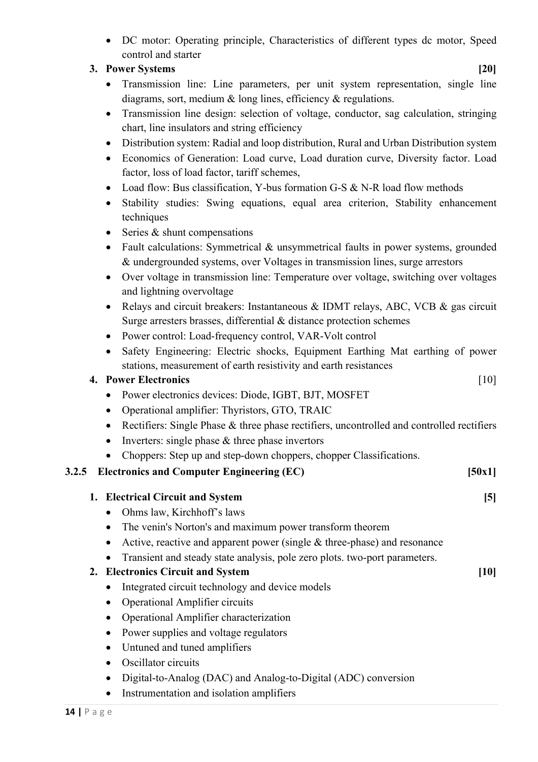• DC motor: Operating principle, Characteristics of different types dc motor, Speed control and starter

#### **3. Power Systems [20]**

- Transmission line: Line parameters, per unit system representation, single line diagrams, sort, medium & long lines, efficiency & regulations.
- Transmission line design: selection of voltage, conductor, sag calculation, stringing chart, line insulators and string efficiency
- Distribution system: Radial and loop distribution, Rural and Urban Distribution system
- Economics of Generation: Load curve, Load duration curve, Diversity factor. Load factor, loss of load factor, tariff schemes,
- Load flow: Bus classification, Y-bus formation G-S & N-R load flow methods
- Stability studies: Swing equations, equal area criterion, Stability enhancement techniques
- Series & shunt compensations
- Fault calculations: Symmetrical & unsymmetrical faults in power systems, grounded & undergrounded systems, over Voltages in transmission lines, surge arrestors
- Over voltage in transmission line: Temperature over voltage, switching over voltages and lightning overvoltage
- Relays and circuit breakers: Instantaneous & IDMT relays, ABC, VCB & gas circuit Surge arresters brasses, differential & distance protection schemes
- Power control: Load-frequency control, VAR-Volt control
- Safety Engineering: Electric shocks, Equipment Earthing Mat earthing of power stations, measurement of earth resistivity and earth resistances

#### **4. Power Electronics** [10]

- Power electronics devices: Diode, IGBT, BJT, MOSFET
- Operational amplifier: Thyristors, GTO, TRAIC
- Rectifiers: Single Phase & three phase rectifiers, uncontrolled and controlled rectifiers
- Inverters: single phase  $\&$  three phase invertors
- Choppers: Step up and step-down choppers, chopper Classifications.

#### **3.2.5 Electronics and Computer Engineering (EC) [50x1]**

| 1. Electrical Circuit and System                                           | [5]    |
|----------------------------------------------------------------------------|--------|
| Ohms law, Kirchhoff's laws                                                 |        |
| The venin's Norton's and maximum power transform theorem                   |        |
| Active, reactive and apparent power (single $&$ three-phase) and resonance |        |
| Transient and steady state analysis, pole zero plots. two-port parameters. |        |
| 2. Electronics Circuit and System                                          | $[10]$ |
| Integrated circuit technology and device models                            |        |
| <b>Operational Amplifier circuits</b><br>$\bullet$                         |        |
| Operational Amplifier characterization                                     |        |
| Power supplies and voltage regulators                                      |        |
| Untuned and tuned amplifiers                                               |        |
| Oscillator circuits                                                        |        |
| Digital-to-Analog (DAC) and Analog-to-Digital (ADC) conversion             |        |
| Instrumentation and isolation amplifiers                                   |        |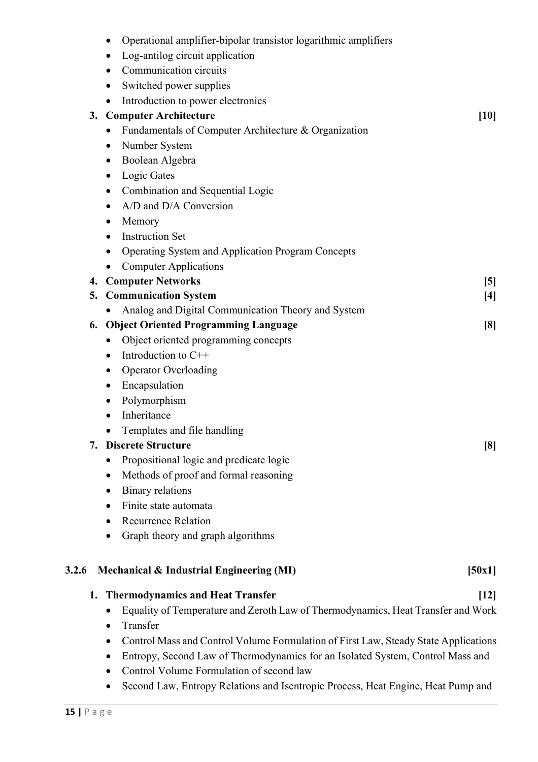|       | Operational amplifier-bipolar transistor logarithmic amplifiers                          |
|-------|------------------------------------------------------------------------------------------|
|       | Log-antilog circuit application                                                          |
|       | Communication circuits                                                                   |
|       | Switched power supplies<br>$\bullet$                                                     |
|       | Introduction to power electronics<br>$\bullet$                                           |
|       | 3. Computer Architecture<br>$[10]$                                                       |
|       | Fundamentals of Computer Architecture & Organization                                     |
|       | Number System<br>$\bullet$                                                               |
|       | Boolean Algebra<br>$\bullet$                                                             |
|       | Logic Gates<br>٠                                                                         |
|       | Combination and Sequential Logic                                                         |
|       | A/D and D/A Conversion                                                                   |
|       | Memory<br>$\bullet$                                                                      |
|       | <b>Instruction Set</b><br>$\bullet$                                                      |
|       | Operating System and Application Program Concepts                                        |
|       | <b>Computer Applications</b>                                                             |
|       | 4. Computer Networks<br>$\left[5\right]$                                                 |
|       | 5. Communication System<br>$[4]$                                                         |
|       | Analog and Digital Communication Theory and System                                       |
|       | 6. Object Oriented Programming Language<br>$\lceil 8 \rceil$                             |
|       | Object oriented programming concepts<br>٠                                                |
|       | Introduction to C++<br>٠                                                                 |
|       | <b>Operator Overloading</b><br>٠                                                         |
|       | Encapsulation<br>$\bullet$                                                               |
|       | Polymorphism<br>$\bullet$                                                                |
|       | Inheritance<br>٠                                                                         |
|       | Templates and file handling                                                              |
| 7.    | <b>Discrete Structure</b><br>[8]                                                         |
|       | Propositional logic and predicate logic                                                  |
|       | Methods of proof and formal reasoning<br>٠                                               |
|       | <b>Binary relations</b><br>٠                                                             |
|       | Finite state automata<br>٠                                                               |
|       | Recurrence Relation<br>٠                                                                 |
|       | Graph theory and graph algorithms<br>٠                                                   |
| 3.2.6 | Mechanical & Industrial Engineering (MI)<br>[50x1]                                       |
|       |                                                                                          |
|       | 1. Thermodynamics and Heat Transfer<br>$[12]$                                            |
|       | Equality of Temperature and Zeroth Law of Thermodynamics, Heat Transfer and Work         |
|       | Transfer<br>$\bullet$                                                                    |
|       | Control Mass and Control Volume Formulation of First Law, Steady State Applications<br>٠ |
|       | Entropy, Second Law of Thermodynamics for an Isolated System, Control Mass and<br>٠      |
|       | Control Volume Formulation of second law<br>٠                                            |
|       | Second Law, Entropy Relations and Isentropic Process, Heat Engine, Heat Pump and<br>٠    |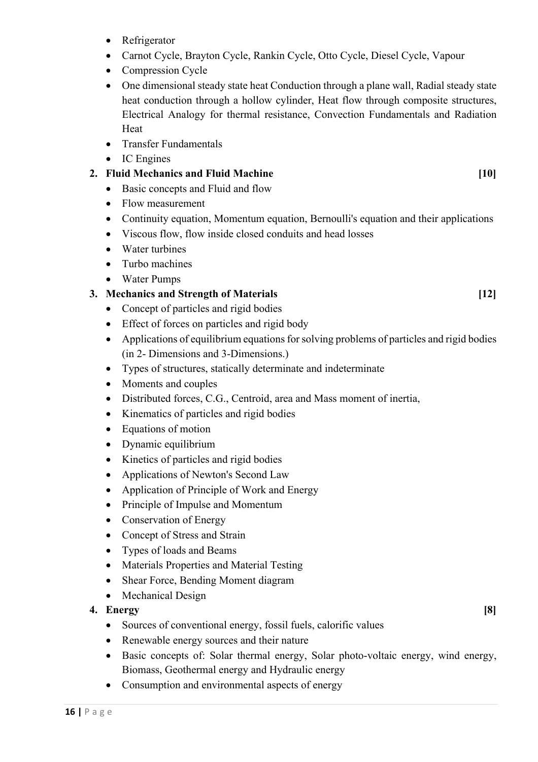- Refrigerator
- Carnot Cycle, Brayton Cycle, Rankin Cycle, Otto Cycle, Diesel Cycle, Vapour
- Compression Cycle
- One dimensional steady state heat Conduction through a plane wall, Radial steady state heat conduction through a hollow cylinder, Heat flow through composite structures, Electrical Analogy for thermal resistance, Convection Fundamentals and Radiation Heat
- Transfer Fundamentals
- IC Engines

#### **2. Fluid Mechanics and Fluid Machine [10]**

- Basic concepts and Fluid and flow
- Flow measurement
- Continuity equation, Momentum equation, Bernoulli's equation and their applications
- Viscous flow, flow inside closed conduits and head losses
- Water turbines
- Turbo machines
- Water Pumps

#### **3. Mechanics and Strength of Materials [12]**

- Concept of particles and rigid bodies
- Effect of forces on particles and rigid body
- Applications of equilibrium equations for solving problems of particles and rigid bodies (in 2- Dimensions and 3-Dimensions.)
- Types of structures, statically determinate and indeterminate
- Moments and couples
- Distributed forces, C.G., Centroid, area and Mass moment of inertia,
- Kinematics of particles and rigid bodies
- Equations of motion
- Dynamic equilibrium
- Kinetics of particles and rigid bodies
- Applications of Newton's Second Law
- Application of Principle of Work and Energy
- Principle of Impulse and Momentum
- Conservation of Energy
- Concept of Stress and Strain
- Types of loads and Beams
- Materials Properties and Material Testing
- Shear Force, Bending Moment diagram
- Mechanical Design

#### **4. Energy [8]**

- Sources of conventional energy, fossil fuels, calorific values
- Renewable energy sources and their nature
- Basic concepts of: Solar thermal energy, Solar photo-voltaic energy, wind energy, Biomass, Geothermal energy and Hydraulic energy
- Consumption and environmental aspects of energy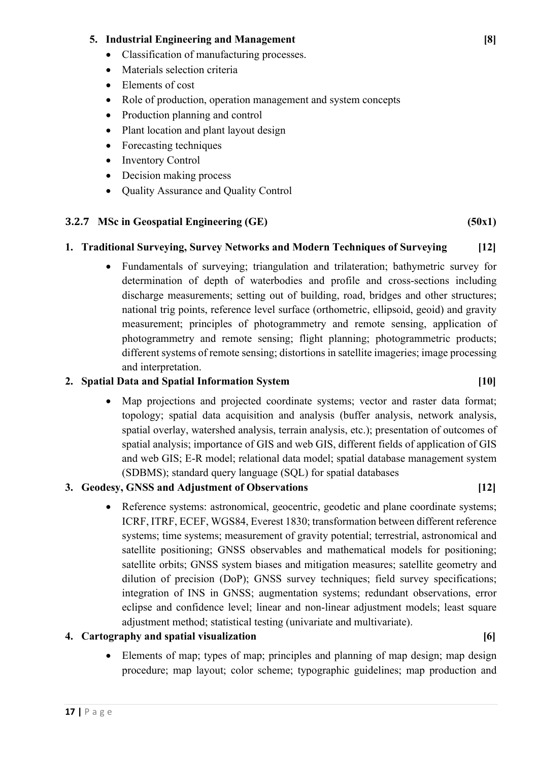#### **5. Industrial Engineering and Management [8]**

- Classification of manufacturing processes.
- Materials selection criteria
- Elements of cost
- Role of production, operation management and system concepts
- Production planning and control
- Plant location and plant layout design
- Forecasting techniques
- Inventory Control
- Decision making process
- Quality Assurance and Quality Control

#### **3.2.7 MSc in Geospatial Engineering (GE) (50x1)**

#### **1. Traditional Surveying, Survey Networks and Modern Techniques of Surveying [12]**

• Fundamentals of surveying; triangulation and trilateration; bathymetric survey for determination of depth of waterbodies and profile and cross-sections including discharge measurements; setting out of building, road, bridges and other structures; national trig points, reference level surface (orthometric, ellipsoid, geoid) and gravity measurement; principles of photogrammetry and remote sensing, application of photogrammetry and remote sensing; flight planning; photogrammetric products; different systems of remote sensing; distortions in satellite imageries; image processing and interpretation.

#### **2. Spatial Data and Spatial Information System [10]**

• Map projections and projected coordinate systems; vector and raster data format; topology; spatial data acquisition and analysis (buffer analysis, network analysis, spatial overlay, watershed analysis, terrain analysis, etc.); presentation of outcomes of spatial analysis; importance of GIS and web GIS, different fields of application of GIS and web GIS; E-R model; relational data model; spatial database management system (SDBMS); standard query language (SQL) for spatial databases

#### **3. Geodesy, GNSS and Adjustment of Observations [12]**

• Reference systems: astronomical, geocentric, geodetic and plane coordinate systems; ICRF, ITRF, ECEF, WGS84, Everest 1830; transformation between different reference systems; time systems; measurement of gravity potential; terrestrial, astronomical and satellite positioning; GNSS observables and mathematical models for positioning; satellite orbits; GNSS system biases and mitigation measures; satellite geometry and dilution of precision (DoP); GNSS survey techniques; field survey specifications; integration of INS in GNSS; augmentation systems; redundant observations, error eclipse and confidence level; linear and non-linear adjustment models; least square adjustment method; statistical testing (univariate and multivariate).

#### **4. Cartography and spatial visualization [6]**

• Elements of map; types of map; principles and planning of map design; map design procedure; map layout; color scheme; typographic guidelines; map production and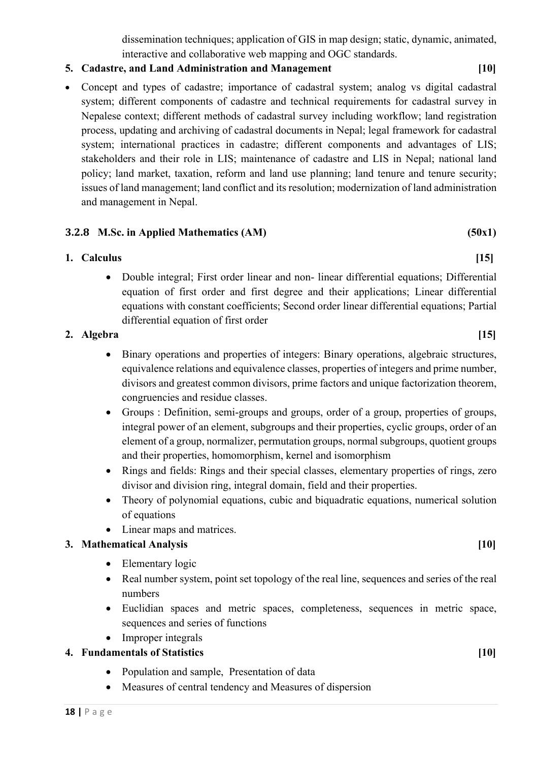dissemination techniques; application of GIS in map design; static, dynamic, animated, interactive and collaborative web mapping and OGC standards.

#### **5. Cadastre, and Land Administration and Management [10]**

• Concept and types of cadastre; importance of cadastral system; analog vs digital cadastral system; different components of cadastre and technical requirements for cadastral survey in Nepalese context; different methods of cadastral survey including workflow; land registration process, updating and archiving of cadastral documents in Nepal; legal framework for cadastral system; international practices in cadastre; different components and advantages of LIS; stakeholders and their role in LIS; maintenance of cadastre and LIS in Nepal; national land policy; land market, taxation, reform and land use planning; land tenure and tenure security; issues of land management; land conflict and its resolution; modernization of land administration and management in Nepal.

#### **3.2.8 M.Sc. in Applied Mathematics (AM) (50x1)**

#### **1. Calculus [15]**

• Double integral; First order linear and non- linear differential equations; Differential equation of first order and first degree and their applications; Linear differential equations with constant coefficients; Second order linear differential equations; Partial differential equation of first order

#### **2. Algebra [15]**

- Binary operations and properties of integers: Binary operations, algebraic structures, equivalence relations and equivalence classes, properties of integers and prime number, divisors and greatest common divisors, prime factors and unique factorization theorem, congruencies and residue classes.
- Groups : Definition, semi-groups and groups, order of a group, properties of groups, integral power of an element, subgroups and their properties, cyclic groups, order of an element of a group, normalizer, permutation groups, normal subgroups, quotient groups and their properties, homomorphism, kernel and isomorphism
- Rings and fields: Rings and their special classes, elementary properties of rings, zero divisor and division ring, integral domain, field and their properties.
- Theory of polynomial equations, cubic and biquadratic equations, numerical solution of equations
- Linear maps and matrices.

#### **3. Mathematical Analysis [10]**

- Elementary logic
- Real number system, point set topology of the real line, sequences and series of the real numbers
- Euclidian spaces and metric spaces, completeness, sequences in metric space, sequences and series of functions
- Improper integrals

#### **4. Fundamentals of Statistics [10]**

- Population and sample, Presentation of data
- Measures of central tendency and Measures of dispersion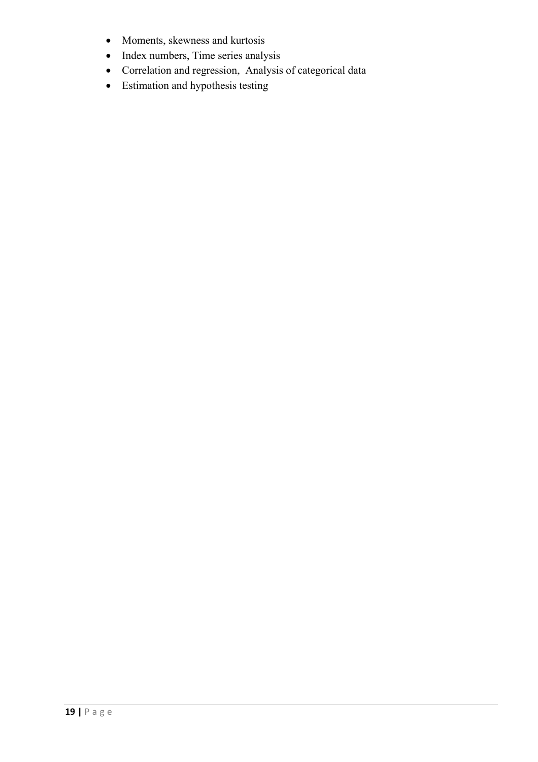- Moments, skewness and kurtosis
- Index numbers, Time series analysis
- Correlation and regression, Analysis of categorical data
- Estimation and hypothesis testing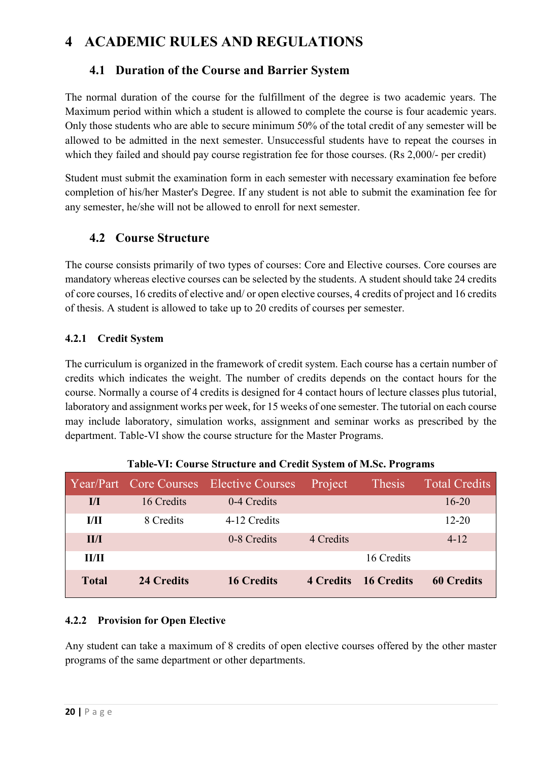## **4 ACADEMIC RULES AND REGULATIONS**

#### **4.1 Duration of the Course and Barrier System**

The normal duration of the course for the fulfillment of the degree is two academic years. The Maximum period within which a student is allowed to complete the course is four academic years. Only those students who are able to secure minimum 50% of the total credit of any semester will be allowed to be admitted in the next semester. Unsuccessful students have to repeat the courses in which they failed and should pay course registration fee for those courses. (Rs 2,000/- per credit)

Student must submit the examination form in each semester with necessary examination fee before completion of his/her Master's Degree. If any student is not able to submit the examination fee for any semester, he/she will not be allowed to enroll for next semester.

#### **4.2 Course Structure**

The course consists primarily of two types of courses: Core and Elective courses. Core courses are mandatory whereas elective courses can be selected by the students. A student should take 24 credits of core courses, 16 credits of elective and/ or open elective courses, 4 credits of project and 16 credits of thesis. A student is allowed to take up to 20 credits of courses per semester.

#### **4.2.1 Credit System**

The curriculum is organized in the framework of credit system. Each course has a certain number of credits which indicates the weight. The number of credits depends on the contact hours for the course. Normally a course of 4 credits is designed for 4 contact hours of lecture classes plus tutorial, laboratory and assignment works per week, for 15 weeks of one semester. The tutorial on each course may include laboratory, simulation works, assignment and seminar works as prescribed by the department. Table-VI show the course structure for the Master Programs.

|                         |            |                                         |           | $\overline{\phantom{a}}$ |                      |
|-------------------------|------------|-----------------------------------------|-----------|--------------------------|----------------------|
|                         |            | Year/Part Core Courses Elective Courses | Project   | Thesis                   | <b>Total Credits</b> |
| $\mathbf{I}/\mathbf{I}$ | 16 Credits | 0-4 Credits                             |           |                          | $16 - 20$            |
| I/H                     | 8 Credits  | 4-12 Credits                            |           |                          | $12 - 20$            |
| II/I                    |            | 0-8 Credits                             | 4 Credits |                          | $4 - 12$             |
| II/II                   |            |                                         |           | 16 Credits               |                      |
| <b>Total</b>            | 24 Credits | <b>16 Credits</b>                       |           | 4 Credits 16 Credits     | <b>60 Credits</b>    |

|  | Table-VI: Course Structure and Credit System of M.Sc. Programs |  |  |
|--|----------------------------------------------------------------|--|--|

#### **4.2.2 Provision for Open Elective**

Any student can take a maximum of 8 credits of open elective courses offered by the other master programs of the same department or other departments.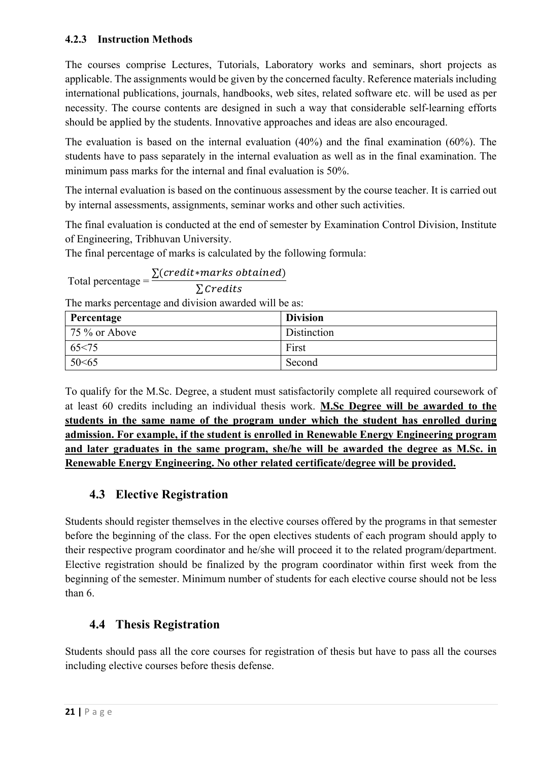#### **4.2.3 Instruction Methods**

The courses comprise Lectures, Tutorials, Laboratory works and seminars, short projects as applicable. The assignments would be given by the concerned faculty. Reference materials including international publications, journals, handbooks, web sites, related software etc. will be used as per necessity. The course contents are designed in such a way that considerable self-learning efforts should be applied by the students. Innovative approaches and ideas are also encouraged.

The evaluation is based on the internal evaluation (40%) and the final examination (60%). The students have to pass separately in the internal evaluation as well as in the final examination. The minimum pass marks for the internal and final evaluation is 50%.

The internal evaluation is based on the continuous assessment by the course teacher. It is carried out by internal assessments, assignments, seminar works and other such activities.

The final evaluation is conducted at the end of semester by Examination Control Division, Institute of Engineering, Tribhuvan University.

The final percentage of marks is calculated by the following formula:

Total percentage =  $\frac{\sum (credit * marks \ obtained)}{S(s-1))}$  $\Sigma$  Credits

The marks percentage and division awarded will be as:

| Percentage    | <b>Division</b> |
|---------------|-----------------|
| 75 % or Above | Distinction     |
| 65 < 75       | First           |
| 50<65         | Second          |

To qualify for the M.Sc. Degree, a student must satisfactorily complete all required coursework of at least 60 credits including an individual thesis work. **M.Sc Degree will be awarded to the students in the same name of the program under which the student has enrolled during admission. For example, if the student is enrolled in Renewable Energy Engineering program and later graduates in the same program, she/he will be awarded the degree as M.Sc. in Renewable Energy Engineering. No other related certificate/degree will be provided.**

#### **4.3 Elective Registration**

Students should register themselves in the elective courses offered by the programs in that semester before the beginning of the class. For the open electives students of each program should apply to their respective program coordinator and he/she will proceed it to the related program/department. Elective registration should be finalized by the program coordinator within first week from the beginning of the semester. Minimum number of students for each elective course should not be less than 6.

#### **4.4 Thesis Registration**

Students should pass all the core courses for registration of thesis but have to pass all the courses including elective courses before thesis defense.